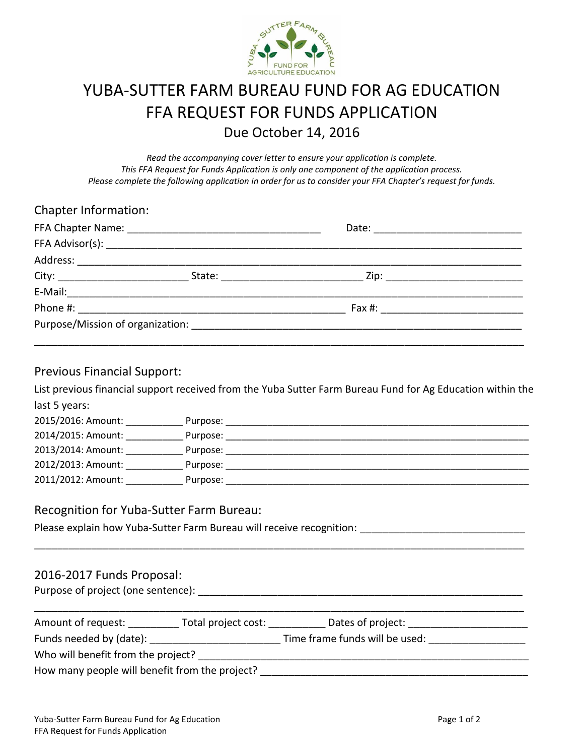

# YUBA-SUTTER FARM BUREAU FUND FOR AG EDUCATION FFA REQUEST FOR FUNDS APPLICATION Due October 14, 2016

*Read the accompanying cover letter to ensure your application is complete. This FFA Request for Funds Application is only one component of the application process. Please complete the following application in order for us to consider your FFA Chapter's request for funds.*

| <b>Chapter Information:</b> |  |  |
|-----------------------------|--|--|
|                             |  |  |
|                             |  |  |
|                             |  |  |
|                             |  |  |
|                             |  |  |
|                             |  |  |
|                             |  |  |
|                             |  |  |

#### Previous Financial Support:

List previous financial support received from the Yuba Sutter Farm Bureau Fund for Ag Education within the last 5 years:

| 2015/2016: Amount: | Purpose: |
|--------------------|----------|
| 2014/2015: Amount: | Purpose: |
| 2013/2014: Amount: | Purpose: |
| 2012/2013: Amount: | Purpose: |
| 2011/2012: Amount: | Purpose: |

#### Recognition for Yuba-Sutter Farm Bureau:

Please explain how Yuba-Sutter Farm Bureau will receive recognition:

### 2016-2017 Funds Proposal:

Purpose of project (one sentence): \_\_\_\_\_\_\_\_\_\_\_\_\_\_\_\_\_\_\_\_\_\_\_\_\_\_\_\_\_\_\_\_\_\_\_\_\_\_\_\_\_\_\_\_\_\_\_\_\_\_\_\_\_\_\_\_\_

| Amount of request:                             | Total project cost: | Dates of project:              |  |
|------------------------------------------------|---------------------|--------------------------------|--|
| Funds needed by (date):                        |                     | Time frame funds will be used: |  |
| Who will benefit from the project?             |                     |                                |  |
| How many people will benefit from the project? |                     |                                |  |

\_\_\_\_\_\_\_\_\_\_\_\_\_\_\_\_\_\_\_\_\_\_\_\_\_\_\_\_\_\_\_\_\_\_\_\_\_\_\_\_\_\_\_\_\_\_\_\_\_\_\_\_\_\_\_\_\_\_\_\_\_\_\_\_\_\_\_\_\_\_\_\_\_\_\_\_\_\_\_\_\_\_\_\_\_\_